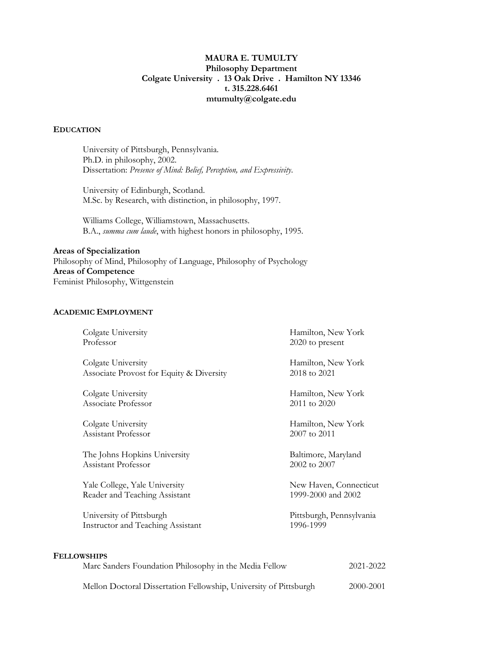# **MAURA E. TUMULTY Philosophy Department Colgate University . 13 Oak Drive . Hamilton NY 13346 t. 315.228.6461 mtumulty@colgate.edu**

### **EDUCATION**

University of Pittsburgh, Pennsylvania. Ph.D. in philosophy, 2002. Dissertation: *Presence of Mind: Belief, Perception, and Expressivity*.

University of Edinburgh, Scotland. M.Sc. by Research, with distinction, in philosophy, 1997.

Williams College, Williamstown, Massachusetts. B.A., *summa cum laude*, with highest honors in philosophy, 1995.

**Areas of Specialization** Philosophy of Mind, Philosophy of Language, Philosophy of Psychology **Areas of Competence** Feminist Philosophy, Wittgenstein

### **ACADEMIC EMPLOYMENT**

| Colgate University                                                           | Hamilton, New York       |
|------------------------------------------------------------------------------|--------------------------|
| Professor                                                                    | 2020 to present          |
| Colgate University                                                           | Hamilton, New York       |
| Associate Provost for Equity & Diversity                                     | 2018 to 2021             |
| Colgate University                                                           | Hamilton, New York       |
| Associate Professor                                                          | 2011 to 2020             |
| Colgate University                                                           | Hamilton, New York       |
| Assistant Professor                                                          | 2007 to 2011             |
| The Johns Hopkins University                                                 | Baltimore, Maryland      |
| Assistant Professor                                                          | 2002 to 2007             |
| Yale College, Yale University                                                | New Haven, Connecticut   |
| Reader and Teaching Assistant                                                | 1999-2000 and 2002       |
| University of Pittsburgh                                                     | Pittsburgh, Pennsylvania |
| Instructor and Teaching Assistant                                            | 1996-1999                |
| <b>FELLOWSHIPS</b><br>Marc Sanders Foundation Philosophy in the Media Fellow | 2021-2022                |

Mellon Doctoral Dissertation Fellowship, University of Pittsburgh 2000-2001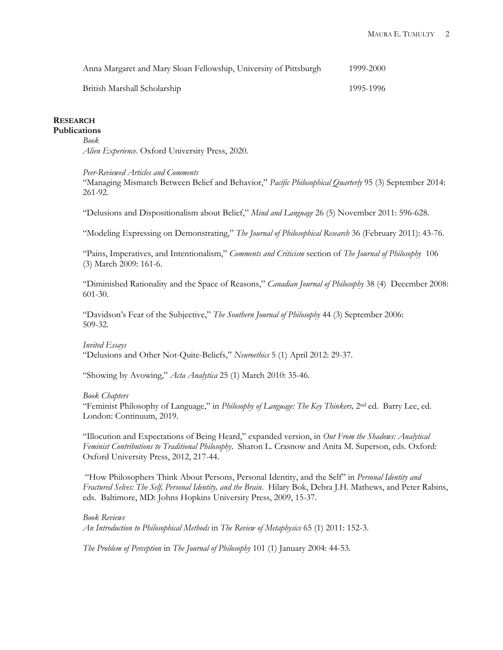| Anna Margaret and Mary Sloan Fellowship, University of Pittsburgh | 1999-2000 |
|-------------------------------------------------------------------|-----------|
| British Marshall Scholarship                                      | 1995-1996 |

#### **RESEARCH Publications**

# *Book*

*Alien Experience*. Oxford University Press, 2020.

#### *Peer-Reviewed Articles and Comments*

"Managing Mismatch Between Belief and Behavior," *Pacific Philosophical Quarterly* 95 (3) September 2014: 261-92.

"Delusions and Dispositionalism about Belief," *Mind and Language* 26 (5) November 2011: 596-628.

"Modeling Expressing on Demonstrating," *The Journal of Philosophical Research* 36 (February 2011): 43-76.

"Pains, Imperatives, and Intentionalism," *Comments and Criticism* section of *The Journal of Philosophy* 106 (3) March 2009: 161-6.

"Diminished Rationality and the Space of Reasons," *Canadian Journal of Philosophy* 38 (4) December 2008: 601-30.

"Davidson's Fear of the Subjective," *The Southern Journal of Philosophy* 44 (3) September 2006: 509-32.

### *Invited Essays*

"Delusions and Other Not-Quite-Beliefs," *Neuroethics* 5 (1) April 2012: 29-37.

"Showing by Avowing," *Acta Analytica* 25 (1) March 2010: 35-46.

### *Book Chapters*

"Feminist Philosophy of Language," in *Philosophy of Language: The Key Thinkers,* 2nd ed. Barry Lee, ed. London: Continuum, 2019.

"Illocution and Expectations of Being Heard," expanded version, in *Out From the Shadows: Analytical Feminist Contributions to Traditional Philosophy*. Sharon L. Crasnow and Anita M. Superson, eds. Oxford: Oxford University Press, 2012, 217-44.

"How Philosophers Think About Persons, Personal Identity, and the Self" in *Personal Identity and Fractured Selves: The Self, Personal Identity, and the Brain*. Hilary Bok, Debra J.H. Mathews, and Peter Rabins, eds. Baltimore, MD: Johns Hopkins University Press, 2009, 15-37.

*Book Reviews An Introduction to Philosophical Methods* in *The Review of Metaphysics* 65 (1) 2011: 152-3.

*The Problem of Perception* in *The Journal of Philosophy* 101 (1) January 2004: 44-53.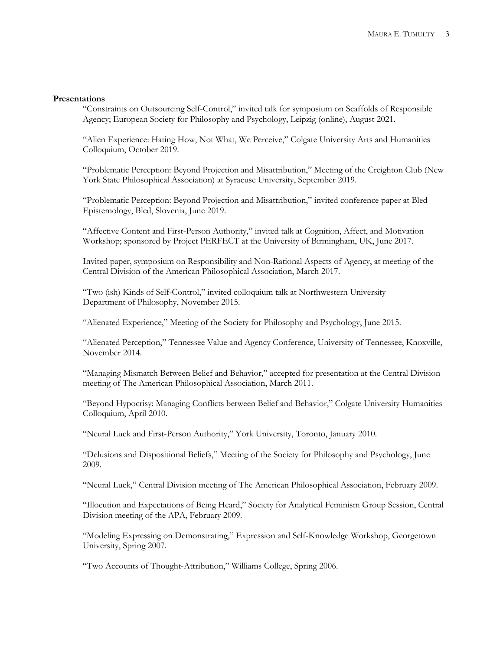#### **Presentations**

"Constraints on Outsourcing Self-Control," invited talk for symposium on Scaffolds of Responsible Agency; European Society for Philosophy and Psychology, Leipzig (online), August 2021.

"Alien Experience: Hating How, Not What, We Perceive," Colgate University Arts and Humanities Colloquium, October 2019.

"Problematic Perception: Beyond Projection and Misattribution," Meeting of the Creighton Club (New York State Philosophical Association) at Syracuse University, September 2019.

"Problematic Perception: Beyond Projection and Misattribution," invited conference paper at Bled Epistemology, Bled, Slovenia, June 2019.

"Affective Content and First-Person Authority," invited talk at Cognition, Affect, and Motivation Workshop; sponsored by Project PERFECT at the University of Birmingham, UK, June 2017.

Invited paper, symposium on Responsibility and Non-Rational Aspects of Agency, at meeting of the Central Division of the American Philosophical Association, March 2017.

"Two (ish) Kinds of Self-Control," invited colloquium talk at Northwestern University Department of Philosophy, November 2015.

"Alienated Experience," Meeting of the Society for Philosophy and Psychology, June 2015.

"Alienated Perception," Tennessee Value and Agency Conference, University of Tennessee, Knoxville, November 2014.

"Managing Mismatch Between Belief and Behavior," accepted for presentation at the Central Division meeting of The American Philosophical Association, March 2011.

"Beyond Hypocrisy: Managing Conflicts between Belief and Behavior," Colgate University Humanities Colloquium, April 2010.

"Neural Luck and First-Person Authority," York University, Toronto, January 2010.

"Delusions and Dispositional Beliefs," Meeting of the Society for Philosophy and Psychology, June 2009.

"Neural Luck," Central Division meeting of The American Philosophical Association, February 2009.

"Illocution and Expectations of Being Heard," Society for Analytical Feminism Group Session, Central Division meeting of the APA, February 2009.

"Modeling Expressing on Demonstrating," Expression and Self-Knowledge Workshop, Georgetown University, Spring 2007.

"Two Accounts of Thought-Attribution," Williams College, Spring 2006.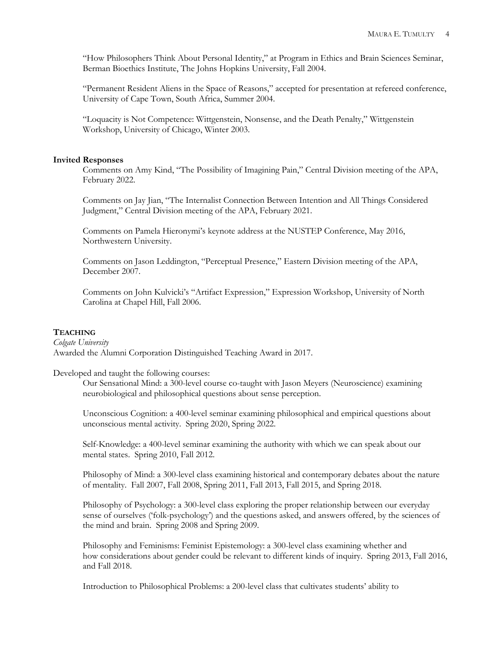"How Philosophers Think About Personal Identity," at Program in Ethics and Brain Sciences Seminar, Berman Bioethics Institute, The Johns Hopkins University, Fall 2004.

"Permanent Resident Aliens in the Space of Reasons," accepted for presentation at refereed conference, University of Cape Town, South Africa, Summer 2004.

"Loquacity is Not Competence: Wittgenstein, Nonsense, and the Death Penalty," Wittgenstein Workshop, University of Chicago, Winter 2003.

#### **Invited Responses**

Comments on Amy Kind, "The Possibility of Imagining Pain," Central Division meeting of the APA, February 2022.

Comments on Jay Jian, "The Internalist Connection Between Intention and All Things Considered Judgment," Central Division meeting of the APA, February 2021.

Comments on Pamela Hieronymi's keynote address at the NUSTEP Conference, May 2016, Northwestern University.

Comments on Jason Leddington, "Perceptual Presence," Eastern Division meeting of the APA, December 2007.

Comments on John Kulvicki's "Artifact Expression," Expression Workshop, University of North Carolina at Chapel Hill, Fall 2006.

# **TEACHING**

*Colgate University* Awarded the Alumni Corporation Distinguished Teaching Award in 2017.

Developed and taught the following courses:

Our Sensational Mind: a 300-level course co-taught with Jason Meyers (Neuroscience) examining neurobiological and philosophical questions about sense perception.

Unconscious Cognition: a 400-level seminar examining philosophical and empirical questions about unconscious mental activity. Spring 2020, Spring 2022.

Self-Knowledge: a 400-level seminar examining the authority with which we can speak about our mental states. Spring 2010, Fall 2012.

Philosophy of Mind: a 300-level class examining historical and contemporary debates about the nature of mentality. Fall 2007, Fall 2008, Spring 2011, Fall 2013, Fall 2015, and Spring 2018.

Philosophy of Psychology: a 300-level class exploring the proper relationship between our everyday sense of ourselves ('folk-psychology') and the questions asked, and answers offered, by the sciences of the mind and brain. Spring 2008 and Spring 2009.

Philosophy and Feminisms: Feminist Epistemology: a 300-level class examining whether and how considerations about gender could be relevant to different kinds of inquiry. Spring 2013, Fall 2016, and Fall 2018.

Introduction to Philosophical Problems: a 200-level class that cultivates students' ability to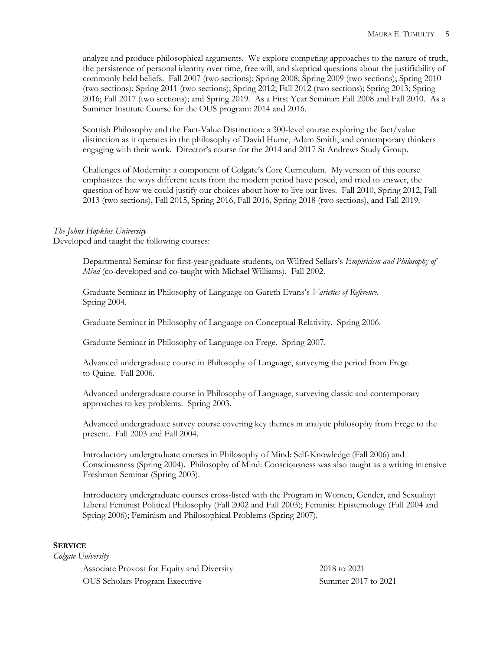analyze and produce philosophical arguments. We explore competing approaches to the nature of truth, the persistence of personal identity over time, free will, and skeptical questions about the justifiability of commonly held beliefs. Fall 2007 (two sections); Spring 2008; Spring 2009 (two sections); Spring 2010 (two sections); Spring 2011 (two sections); Spring 2012; Fall 2012 (two sections); Spring 2013; Spring 2016; Fall 2017 (two sections); and Spring 2019. As a First Year Seminar: Fall 2008 and Fall 2010. As a Summer Institute Course for the OUS program: 2014 and 2016.

Scottish Philosophy and the Fact-Value Distinction: a 300-level course exploring the fact/value distinction as it operates in the philosophy of David Hume, Adam Smith, and contemporary thinkers engaging with their work. Director's course for the 2014 and 2017 St Andrews Study Group.

Challenges of Modernity: a component of Colgate's Core Curriculum. My version of this course emphasizes the ways different texts from the modern period have posed, and tried to answer, the question of how we could justify our choices about how to live our lives. Fall 2010, Spring 2012, Fall 2013 (two sections), Fall 2015, Spring 2016, Fall 2016, Spring 2018 (two sections), and Fall 2019.

# *The Johns Hopkins University*

Developed and taught the following courses:

Departmental Seminar for first-year graduate students, on Wilfred Sellars's *Empiricism and Philosophy of Mind* (co-developed and co-taught with Michael Williams). Fall 2002.

Graduate Seminar in Philosophy of Language on Gareth Evans's *Varieties of Reference*. Spring 2004.

Graduate Seminar in Philosophy of Language on Conceptual Relativity. Spring 2006.

Graduate Seminar in Philosophy of Language on Frege. Spring 2007.

Advanced undergraduate course in Philosophy of Language, surveying the period from Frege to Quine. Fall 2006.

Advanced undergraduate course in Philosophy of Language, surveying classic and contemporary approaches to key problems. Spring 2003.

Advanced undergraduate survey course covering key themes in analytic philosophy from Frege to the present. Fall 2003 and Fall 2004.

Introductory undergraduate courses in Philosophy of Mind: Self-Knowledge (Fall 2006) and Consciousness (Spring 2004). Philosophy of Mind: Consciousness was also taught as a writing intensive Freshman Seminar (Spring 2003).

Introductory undergraduate courses cross-listed with the Program in Women, Gender, and Sexuality: Liberal Feminist Political Philosophy (Fall 2002 and Fall 2003); Feminist Epistemology (Fall 2004 and Spring 2006); Feminism and Philosophical Problems (Spring 2007).

### **SERVICE**

*Colgate University*

Associate Provost for Equity and Diversity 2018 to 2021 OUS Scholars Program Executive Summer 2017 to 2021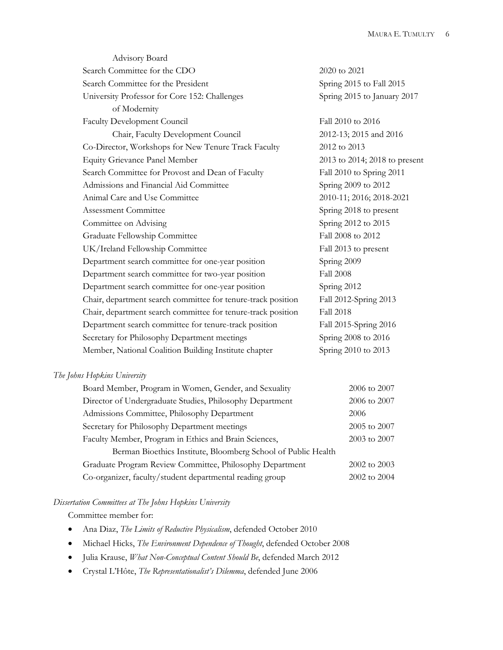| Advisory Board                                               |                               |
|--------------------------------------------------------------|-------------------------------|
| Search Committee for the CDO                                 | 2020 to 2021                  |
| Search Committee for the President                           | Spring 2015 to Fall 2015      |
| University Professor for Core 152: Challenges                | Spring 2015 to January 2017   |
| of Modernity                                                 |                               |
| <b>Faculty Development Council</b>                           | Fall 2010 to 2016             |
| Chair, Faculty Development Council                           | 2012-13; 2015 and 2016        |
| Co-Director, Workshops for New Tenure Track Faculty          | 2012 to 2013                  |
| <b>Equity Grievance Panel Member</b>                         | 2013 to 2014; 2018 to present |
| Search Committee for Provost and Dean of Faculty             | Fall 2010 to Spring 2011      |
| Admissions and Financial Aid Committee                       | Spring 2009 to 2012           |
| Animal Care and Use Committee                                | 2010-11; 2016; 2018-2021      |
| Assessment Committee                                         | Spring 2018 to present        |
| Committee on Advising                                        | Spring 2012 to 2015           |
| Graduate Fellowship Committee                                | Fall 2008 to 2012             |
| UK/Ireland Fellowship Committee                              | Fall 2013 to present          |
| Department search committee for one-year position            | Spring 2009                   |
| Department search committee for two-year position            | <b>Fall 2008</b>              |
| Department search committee for one-year position            | Spring 2012                   |
| Chair, department search committee for tenure-track position | Fall 2012-Spring 2013         |
| Chair, department search committee for tenure-track position | <b>Fall 2018</b>              |
| Department search committee for tenure-track position        | Fall 2015-Spring 2016         |
| Secretary for Philosophy Department meetings                 | Spring 2008 to 2016           |
| Member, National Coalition Building Institute chapter        | Spring 2010 to 2013           |
|                                                              |                               |

# *The Johns Hopkins University*

| Board Member, Program in Women, Gender, and Sexuality         | 2006 to 2007 |
|---------------------------------------------------------------|--------------|
| Director of Undergraduate Studies, Philosophy Department      | 2006 to 2007 |
| Admissions Committee, Philosophy Department                   | 2006         |
| Secretary for Philosophy Department meetings                  | 2005 to 2007 |
| Faculty Member, Program in Ethics and Brain Sciences,         | 2003 to 2007 |
| Berman Bioethics Institute, Bloomberg School of Public Health |              |
| Graduate Program Review Committee, Philosophy Department      | 2002 to 2003 |
| Co-organizer, faculty/student departmental reading group      | 2002 to 2004 |
|                                                               |              |

# *Dissertation Committees at The Johns Hopkins University*

Committee member for:

- Ana Diaz, *The Limits of Reductive Physicalism*, defended October 2010
- Michael Hicks, *The Environment Dependence of Thought*, defended October 2008
- Julia Krause, *What Non-Conceptual Content Should Be*, defended March 2012
- Crystal L'Hôte, *The Representationalist's Dilemma*, defended June 2006